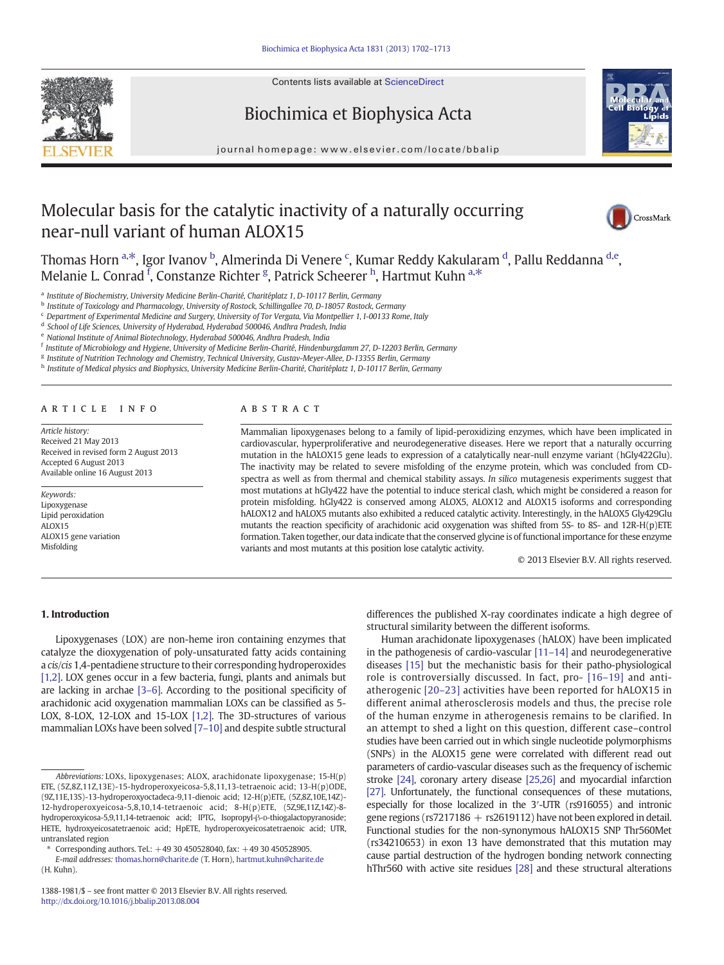

Contents lists available at ScienceDirect

# Biochimica et Biophysica Acta



journal homepage: www.elsevier.com/locate/bbalip

# Molecular basis for the catalytic inactivity of a naturally occurring near-null variant of human ALOX15



Thomas Horn <sup>a,\*</sup>, Igor Ivanov <sup>b</sup>, Almerinda Di Venere <sup>c</sup>, Kumar Reddy Kakularam <sup>d</sup>, Pallu Reddanna <sup>d,e</sup>, Melanie L. Conrad <sup>f</sup>, Constanze Richter <sup>g</sup>, Patrick Scheerer <sup>h</sup>, Hartmut Kuhn <sup>a,\*</sup>

a Institute of Biochemistry, University Medicine Berlin-Charité, Charitéplatz 1, D-10117 Berlin, Germany

<sup>b</sup> Institute of Toxicology and Pharmacology, University of Rostock, Schillingallee 70, D-18057 Rostock, Germany

<sup>c</sup> Department of Experimental Medicine and Surgery, University of Tor Vergata, Via Montpellier 1, I-00133 Rome, Italy

<sup>d</sup> School of Life Sciences, University of Hyderabad, Hyderabad 500046, Andhra Pradesh, India <sup>e</sup> National Institute of Animal Biotechnology, Hyderabad 500046, Andhra Pradesh, India

<sup>f</sup> Institute of Microbiology and Hygiene, University of Medicine Berlin-Charité, Hindenburgdamm 27, D-12203 Berlin, Germany

<sup>g</sup> Institute of Nutrition Technology and Chemistry, Technical University, Gustav-Meyer-Allee, D-13355 Berlin, Germany h Institute of Medical physics and Biophysics, University Medicine Berlin-Charité, Charitéplatz 1, D-10117 Berlin, Germany

# article info abstract

Article history: Received 21 May 2013 Received in revised form 2 August 2013 Accepted 6 August 2013 Available online 16 August 2013

Keywords: Lipoxygenase Lipid peroxidation  $AI OX15$ ALOX15 gene variation Misfolding

Mammalian lipoxygenases belong to a family of lipid-peroxidizing enzymes, which have been implicated in cardiovascular, hyperproliferative and neurodegenerative diseases. Here we report that a naturally occurring mutation in the hALOX15 gene leads to expression of a catalytically near-null enzyme variant (hGly422Glu). The inactivity may be related to severe misfolding of the enzyme protein, which was concluded from CDspectra as well as from thermal and chemical stability assays. In silico mutagenesis experiments suggest that most mutations at hGly422 have the potential to induce sterical clash, which might be considered a reason for protein misfolding. hGly422 is conserved among ALOX5, ALOX12 and ALOX15 isoforms and corresponding hALOX12 and hALOX5 mutants also exhibited a reduced catalytic activity. Interestingly, in the hALOX5 Gly429Glu mutants the reaction specificity of arachidonic acid oxygenation was shifted from 5S- to 8S- and 12R-H(p)ETE formation. Taken together, our data indicate that the conserved glycine is of functional importance for these enzyme variants and most mutants at this position lose catalytic activity.

© 2013 Elsevier B.V. All rights reserved.

# 1. Introduction

Lipoxygenases (LOX) are non-heme iron containing enzymes that catalyze the dioxygenation of poly-unsaturated fatty acids containing a cis/cis 1,4-pentadiene structure to their corresponding hydroperoxides [\[1,2\].](#page-10-0) LOX genes occur in a few bacteria, fungi, plants and animals but are lacking in archae [\[3](#page-10-0)–6]. According to the positional specificity of arachidonic acid oxygenation mammalian LOXs can be classified as 5- LOX, 8-LOX, 12-LOX and 15-LOX [\[1,2\]](#page-10-0). The 3D-structures of various mammalian LOXs have been solved [7–[10\]](#page-10-0) and despite subtle structural

differences the published X-ray coordinates indicate a high degree of structural similarity between the different isoforms.

Human arachidonate lipoxygenases (hALOX) have been implicated in the pathogenesis of cardio-vascular [11–[14\]](#page-10-0) and neurodegenerative diseases [\[15\]](#page-10-0) but the mechanistic basis for their patho-physiological role is controversially discussed. In fact, pro- [16–[19\]](#page-10-0) and antiatherogenic [\[20](#page-10-0)–23] activities have been reported for hALOX15 in different animal atherosclerosis models and thus, the precise role of the human enzyme in atherogenesis remains to be clarified. In an attempt to shed a light on this question, different case–control studies have been carried out in which single nucleotide polymorphisms (SNPs) in the ALOX15 gene were correlated with different read out parameters of cardio-vascular diseases such as the frequency of ischemic stroke [\[24\],](#page-10-0) coronary artery disease [\[25,26\]](#page-10-0) and myocardial infarction [\[27\].](#page-10-0) Unfortunately, the functional consequences of these mutations, especially for those localized in the 3′-UTR (rs916055) and intronic gene regions ( $rs7217186 + rs2619112$ ) have not been explored in detail. Functional studies for the non-synonymous hALOX15 SNP Thr560Met (rs34210653) in exon 13 have demonstrated that this mutation may cause partial destruction of the hydrogen bonding network connecting hThr560 with active site residues [\[28\]](#page-10-0) and these structural alterations

Abbreviations: LOXs, lipoxygenases; ALOX, arachidonate lipoxygenase; 15-H(p) ETE, (5Z,8Z,11Z,13E)-15-hydroperoxyeicosa-5,8,11,13-tetraenoic acid; 13-H(p)ODE, (9Z,11E,13S)-13-hydroperoxyoctadeca-9,11-dienoic acid; 12-H(p)ETE, (5Z,8Z,10E,14Z)- 12-hydroperoxyeicosa-5,8,10,14-tetraenoic acid; 8-H(p)ETE, (5Z,9E,11Z,14Z)-8 hydroperoxyicosa-5,9,11,14-tetraenoic acid; IPTG, Isopropyl-β-D-thiogalactopyranoside; HETE, hydroxyeicosatetraenoic acid; HpETE, hydroperoxyeicosatetraenoic acid; UTR, untranslated region

<sup>⁎</sup> Corresponding authors. Tel.: +49 30 450528040, fax: +49 30 450528905.

E-mail addresses: [thomas.horn@charite.de](mailto:thomas.horn@charite.de) (T. Horn), [hartmut.kuhn@charite.de](mailto:hartmut.kuhn@charite.de) (H. Kuhn).

<sup>1388-1981/\$</sup> – see front matter © 2013 Elsevier B.V. All rights reserved. <http://dx.doi.org/10.1016/j.bbalip.2013.08.004>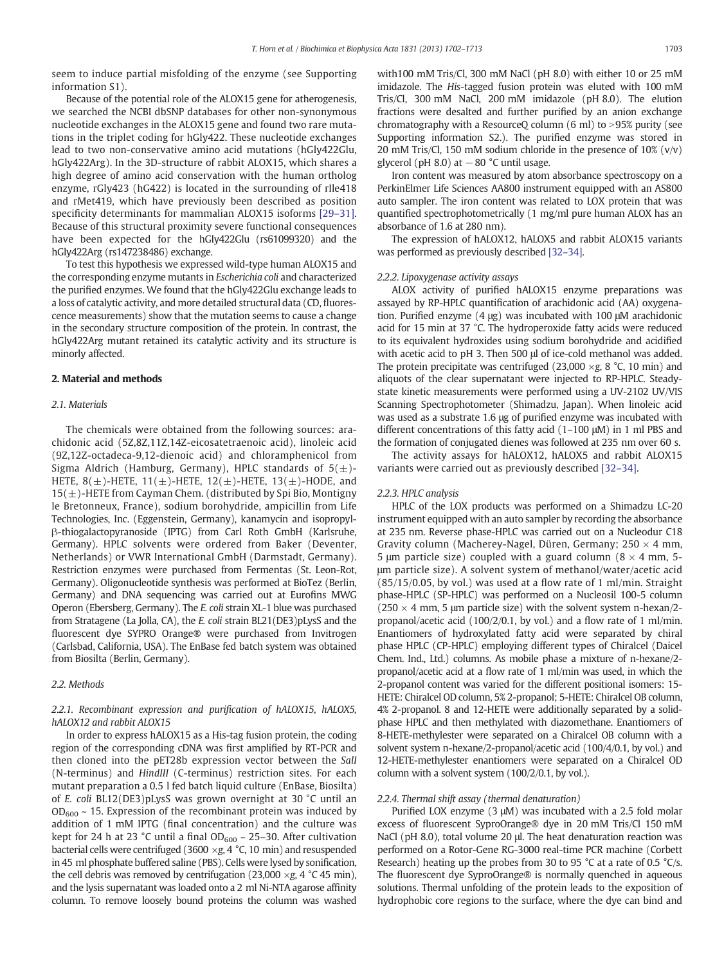<span id="page-1-0"></span>seem to induce partial misfolding of the enzyme (see Supporting information S1).

Because of the potential role of the ALOX15 gene for atherogenesis, we searched the NCBI dbSNP databases for other non-synonymous nucleotide exchanges in the ALOX15 gene and found two rare mutations in the triplet coding for hGly422. These nucleotide exchanges lead to two non-conservative amino acid mutations (hGly422Glu, hGly422Arg). In the 3D-structure of rabbit ALOX15, which shares a high degree of amino acid conservation with the human ortholog enzyme, rGly423 (hG422) is located in the surrounding of rIle418 and rMet419, which have previously been described as position specificity determinants for mammalian ALOX15 isoforms [29–[31\].](#page-10-0) Because of this structural proximity severe functional consequences have been expected for the hGly422Glu (rs61099320) and the hGly422Arg (rs147238486) exchange.

To test this hypothesis we expressed wild-type human ALOX15 and the corresponding enzyme mutants in Escherichia coli and characterized the purified enzymes. We found that the hGly422Glu exchange leads to a loss of catalytic activity, and more detailed structural data (CD, fluorescence measurements) show that the mutation seems to cause a change in the secondary structure composition of the protein. In contrast, the hGly422Arg mutant retained its catalytic activity and its structure is minorly affected.

#### 2. Material and methods

#### 2.1. Materials

The chemicals were obtained from the following sources: arachidonic acid (5Z,8Z,11Z,14Z-eicosatetraenoic acid), linoleic acid (9Z,12Z-octadeca-9,12-dienoic acid) and chloramphenicol from Sigma Aldrich (Hamburg, Germany), HPLC standards of  $5(\pm)$ -HETE,  $8(\pm)$ -HETE,  $11(\pm)$ -HETE,  $12(\pm)$ -HETE,  $13(\pm)$ -HODE, and  $15(\pm)$ -HETE from Cayman Chem. (distributed by Spi Bio, Montigny le Bretonneux, France), sodium borohydride, ampicillin from Life Technologies, Inc. (Eggenstein, Germany), kanamycin and isopropylβ-thiogalactopyranoside (IPTG) from Carl Roth GmbH (Karlsruhe, Germany). HPLC solvents were ordered from Baker (Deventer, Netherlands) or VWR International GmbH (Darmstadt, Germany). Restriction enzymes were purchased from Fermentas (St. Leon-Rot, Germany). Oligonucleotide synthesis was performed at BioTez (Berlin, Germany) and DNA sequencing was carried out at Eurofins MWG Operon (Ebersberg, Germany). The E. coli strain XL-1 blue was purchased from Stratagene (La Jolla, CA), the E. coli strain BL21(DE3)pLysS and the fluorescent dye SYPRO Orange® were purchased from Invitrogen (Carlsbad, California, USA). The EnBase fed batch system was obtained from Biosilta (Berlin, Germany).

# 2.2. Methods

# 2.2.1. Recombinant expression and purification of hALOX15, hALOX5, hALOX12 and rabbit ALOX15

In order to express hALOX15 as a His-tag fusion protein, the coding region of the corresponding cDNA was first amplified by RT-PCR and then cloned into the pET28b expression vector between the SalI (N-terminus) and HindIII (C-terminus) restriction sites. For each mutant preparation a 0.5 l fed batch liquid culture (EnBase, Biosilta) of E. coli BL12(DE3)pLysS was grown overnight at 30 °C until an  $OD_{600} \sim 15$ . Expression of the recombinant protein was induced by addition of 1 mM IPTG (final concentration) and the culture was kept for 24 h at 23 °C until a final  $OD_{600} \sim 25-30$ . After cultivation bacterial cells were centrifuged (3600  $\times g$ , 4 °C, 10 min) and resuspended in 45 ml phosphate buffered saline (PBS). Cells were lysed by sonification, the cell debris was removed by centrifugation (23,000  $\times$ g, 4 °C 45 min), and the lysis supernatant was loaded onto a 2 ml Ni-NTA agarose affinity column. To remove loosely bound proteins the column was washed with100 mM Tris/Cl, 300 mM NaCl (pH 8.0) with either 10 or 25 mM imidazole. The His-tagged fusion protein was eluted with 100 mM Tris/Cl, 300 mM NaCl, 200 mM imidazole (pH 8.0). The elution fractions were desalted and further purified by an anion exchange chromatography with a ResourceQ column  $(6 \text{ ml})$  to  $> 95\%$  purity (see Supporting information S2.). The purified enzyme was stored in 20 mM Tris/Cl, 150 mM sodium chloride in the presence of 10% (v/v) glycerol (pH 8.0) at  $-80$  °C until usage.

Iron content was measured by atom absorbance spectroscopy on a PerkinElmer Life Sciences AA800 instrument equipped with an AS800 auto sampler. The iron content was related to LOX protein that was quantified spectrophotometrically (1 mg/ml pure human ALOX has an absorbance of 1.6 at 280 nm).

The expression of hALOX12, hALOX5 and rabbit ALOX15 variants was performed as previously described [\[32](#page-11-0)–34].

#### 2.2.2. Lipoxygenase activity assays

ALOX activity of purified hALOX15 enzyme preparations was assayed by RP-HPLC quantification of arachidonic acid (AA) oxygenation. Purified enzyme (4 μg) was incubated with 100 μM arachidonic acid for 15 min at 37 °C. The hydroperoxide fatty acids were reduced to its equivalent hydroxides using sodium borohydride and acidified with acetic acid to pH 3. Then 500 μl of ice-cold methanol was added. The protein precipitate was centrifuged (23,000  $\times$ g, 8 °C, 10 min) and aliquots of the clear supernatant were injected to RP-HPLC. Steadystate kinetic measurements were performed using a UV-2102 UV/VIS Scanning Spectrophotometer (Shimadzu, Japan). When linoleic acid was used as a substrate 1.6 μg of purified enzyme was incubated with different concentrations of this fatty acid (1–100 μM) in 1 ml PBS and the formation of conjugated dienes was followed at 235 nm over 60 s.

The activity assays for hALOX12, hALOX5 and rabbit ALOX15 variants were carried out as previously described [32–[34\].](#page-11-0)

#### 2.2.3. HPLC analysis

HPLC of the LOX products was performed on a Shimadzu LC-20 instrument equipped with an auto sampler by recording the absorbance at 235 nm. Reverse phase-HPLC was carried out on a Nucleodur C18 Gravity column (Macherey-Nagel, Düren, Germany;  $250 \times 4$  mm, 5 μm particle size) coupled with a guard column ( $8 \times 4$  mm, 5μm particle size). A solvent system of methanol/water/acetic acid  $(85/15/0.05,$  by vol.) was used at a flow rate of 1 ml/min. Straight phase-HPLC (SP-HPLC) was performed on a Nucleosil 100-5 column  $(250 \times 4 \text{ mm}, 5 \text{ mm})$  particle size) with the solvent system n-hexan/2propanol/acetic acid (100/2/0.1, by vol.) and a flow rate of 1 ml/min. Enantiomers of hydroxylated fatty acid were separated by chiral phase HPLC (CP-HPLC) employing different types of Chiralcel (Daicel Chem. Ind., Ltd.) columns. As mobile phase a mixture of n-hexane/2 propanol/acetic acid at a flow rate of 1 ml/min was used, in which the 2-propanol content was varied for the different positional isomers: 15- HETE: Chiralcel OD column, 5% 2-propanol; 5-HETE: Chiralcel OB column, 4% 2-propanol. 8 and 12-HETE were additionally separated by a solidphase HPLC and then methylated with diazomethane. Enantiomers of 8-HETE-methylester were separated on a Chiralcel OB column with a solvent system n-hexane/2-propanol/acetic acid (100/4/0.1, by vol.) and 12-HETE-methylester enantiomers were separated on a Chiralcel OD column with a solvent system (100/2/0.1, by vol.).

#### 2.2.4. Thermal shift assay (thermal denaturation)

Purified LOX enzyme (3 μM) was incubated with a 2.5 fold molar excess of fluorescent SyproOrange® dye in 20 mM Tris/Cl 150 mM NaCl (pH 8.0), total volume 20 μl. The heat denaturation reaction was performed on a Rotor-Gene RG-3000 real-time PCR machine (Corbett Research) heating up the probes from 30 to 95 °C at a rate of 0.5 °C/s. The fluorescent dye SyproOrange® is normally quenched in aqueous solutions. Thermal unfolding of the protein leads to the exposition of hydrophobic core regions to the surface, where the dye can bind and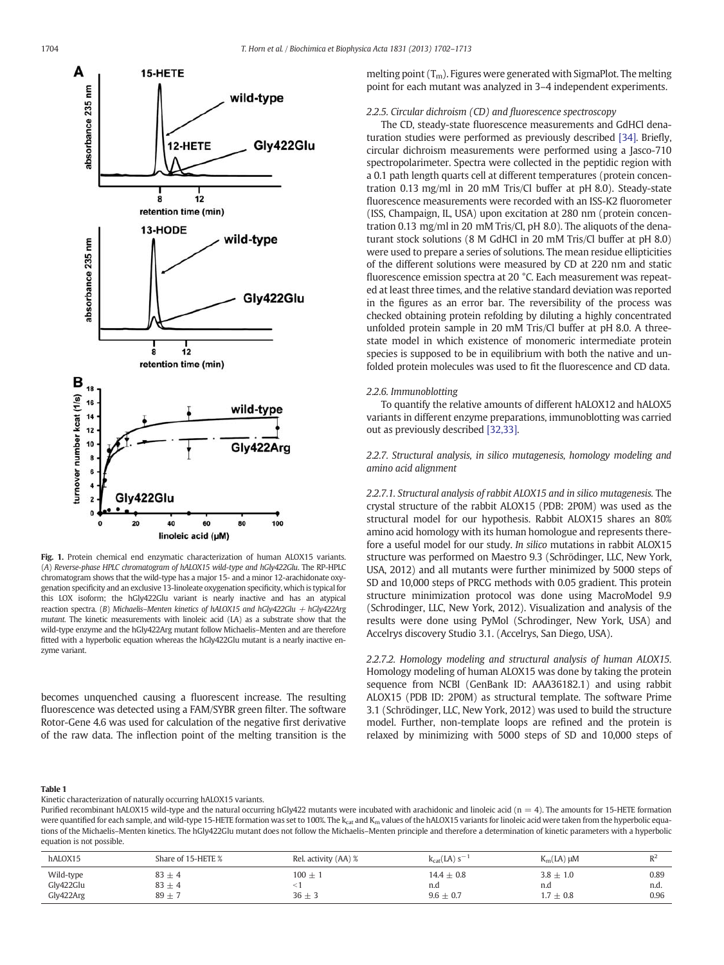<span id="page-2-0"></span>

Fig. 1. Protein chemical end enzymatic characterization of human ALOX15 variants. (A) Reverse-phase HPLC chromatogram of hALOX15 wild-type and hGly422Glu. The RP-HPLC chromatogram shows that the wild-type has a major 15- and a minor 12-arachidonate oxygenation specificity and an exclusive 13-linoleate oxygenation specificity, which is typical for this LOX isoform; the hGly422Glu variant is nearly inactive and has an atypical reaction spectra. (B) Michaelis-Menten kinetics of hALOX15 and hGly422Glu  $+$  hGly422Arg mutant. The kinetic measurements with linoleic acid (LA) as a substrate show that the wild-type enzyme and the hGly422Arg mutant follow Michaelis–Menten and are therefore fitted with a hyperbolic equation whereas the hGly422Glu mutant is a nearly inactive enzyme variant.

becomes unquenched causing a fluorescent increase. The resulting fluorescence was detected using a FAM/SYBR green filter. The software Rotor-Gene 4.6 was used for calculation of the negative first derivative of the raw data. The inflection point of the melting transition is the melting point  $(T_m)$ . Figures were generated with SigmaPlot. The melting point for each mutant was analyzed in 3–4 independent experiments.

#### 2.2.5. Circular dichroism (CD) and fluorescence spectroscopy

The CD, steady-state fluorescence measurements and GdHCl denaturation studies were performed as previously described [\[34\]](#page-11-0). Briefly, circular dichroism measurements were performed using a Jasco-710 spectropolarimeter. Spectra were collected in the peptidic region with a 0.1 path length quarts cell at different temperatures (protein concentration 0.13 mg/ml in 20 mM Tris/Cl buffer at pH 8.0). Steady-state fluorescence measurements were recorded with an ISS-K2 fluorometer (ISS, Champaign, IL, USA) upon excitation at 280 nm (protein concentration 0.13 mg/ml in 20 mM Tris/Cl, pH 8.0). The aliquots of the denaturant stock solutions (8 M GdHCl in 20 mM Tris/Cl buffer at pH 8.0) were used to prepare a series of solutions. The mean residue ellipticities of the different solutions were measured by CD at 220 nm and static fluorescence emission spectra at 20 °C. Each measurement was repeated at least three times, and the relative standard deviation was reported in the figures as an error bar. The reversibility of the process was checked obtaining protein refolding by diluting a highly concentrated unfolded protein sample in 20 mM Tris/Cl buffer at pH 8.0. A threestate model in which existence of monomeric intermediate protein species is supposed to be in equilibrium with both the native and unfolded protein molecules was used to fit the fluorescence and CD data.

#### 2.2.6. Immunoblotting

To quantify the relative amounts of different hALOX12 and hALOX5 variants in different enzyme preparations, immunoblotting was carried out as previously described [\[32,33\].](#page-11-0)

2.2.7. Structural analysis, in silico mutagenesis, homology modeling and amino acid alignment

2.2.7.1. Structural analysis of rabbit ALOX15 and in silico mutagenesis. The crystal structure of the rabbit ALOX15 (PDB: 2P0M) was used as the structural model for our hypothesis. Rabbit ALOX15 shares an 80% amino acid homology with its human homologue and represents therefore a useful model for our study. In silico mutations in rabbit ALOX15 structure was performed on Maestro 9.3 (Schrödinger, LLC, New York, USA, 2012) and all mutants were further minimized by 5000 steps of SD and 10,000 steps of PRCG methods with 0.05 gradient. This protein structure minimization protocol was done using MacroModel 9.9 (Schrodinger, LLC, New York, 2012). Visualization and analysis of the results were done using PyMol (Schrodinger, New York, USA) and Accelrys discovery Studio 3.1. (Accelrys, San Diego, USA).

2.2.7.2. Homology modeling and structural analysis of human ALOX15. Homology modeling of human ALOX15 was done by taking the protein sequence from NCBI (GenBank ID: AAA36182.1) and using rabbit ALOX15 (PDB ID: 2P0M) as structural template. The software Prime 3.1 (Schrödinger, LLC, New York, 2012) was used to build the structure model. Further, non-template loops are refined and the protein is relaxed by minimizing with 5000 steps of SD and 10,000 steps of

#### Table 1

Kinetic characterization of naturally occurring hALOX15 variants.

Purified recombinant hALOX15 wild-type and the natural occurring hGly422 mutants were incubated with arachidonic and linoleic acid (n = 4). The amounts for 15-HETE formation were quantified for each sample, and wild-type 15-HETE formation was set to 100%. The k<sub>cat</sub> and K<sub>m</sub> values of the hALOX15 variants for linoleic acid were taken from the hyperbolic equations of the Michaelis–Menten kinetics. The hGly422Glu mutant does not follow the Michaelis–Menten principle and therefore a determination of kinetic parameters with a hyperbolic equation is not possible.

| hALOX15   | Share of 15-HETE % | Rel. activity (AA) % | $K_{cat}(LA)$ s <sup>-7</sup> | $K_m(LA) \mu M$ | $R^2$<br>$\mathbf{v}$ |
|-----------|--------------------|----------------------|-------------------------------|-----------------|-----------------------|
| Wild-type | $83 \pm 4$         | $100 \pm 1$          | $14.4 + 0.8$                  | $3.8 \pm 1.0$   | 0.89                  |
| Gly422Glu | $83 \pm 4$         | $36 \pm 3$           | n.d                           | n.d             | n.d                   |
| Gly422Arg | $89 \pm$           | $\sqrt{2}$           | $9.6 \pm 0.7$                 | $1.7 \pm 0.8$   | 0.96                  |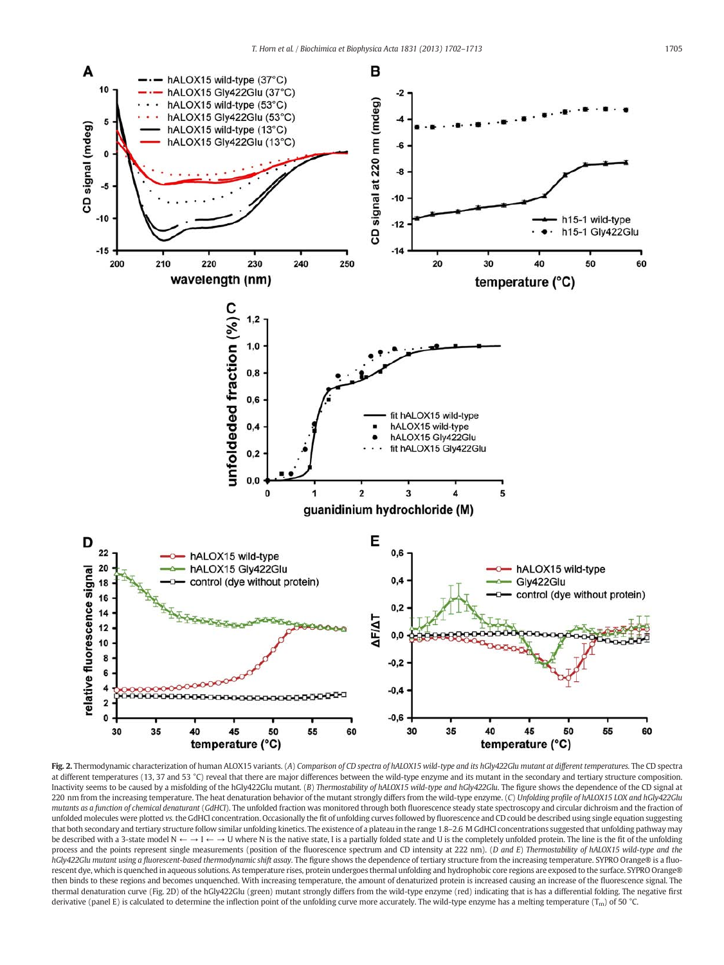<span id="page-3-0"></span>

Fig. 2. Thermodynamic characterization of human ALOX15 variants. (A) Comparison of CD spectra of hALOX15 wild-type and its hGly422Glu mutant at different temperatures. The CD spectra at different temperatures (13, 37 and 53 °C) reveal that there are major differences between the wild-type enzyme and its mutant in the secondary and tertiary structure composition. Inactivity seems to be caused by a misfolding of the hGly422Glu mutant. (B) Thermostability of hALOX15 wild-type and hGly422Glu. The figure shows the dependence of the CD signal at 220 nm from the increasing temperature. The heat denaturation behavior of the mutant strongly differs from the wild-type enzyme. (C) Unfolding profile of hALOX15 LOX and hGly422Glu mutants as a function of chemical denaturant (GdHCl). The unfolded fraction was monitored through both fluorescence steady state spectroscopy and circular dichroism and the fraction of unfolded molecules were plotted vs.the GdHCl concentration. Occasionally the fit of unfolding curves followed by fluorescence and CD could be described using single equation suggesting that both secondary and tertiary structure follow similar unfolding kinetics. The existence of a plateau in the range 1.8–2.6 M GdHCl concentrations suggested that unfolding pathway may be described with a 3-state model  $N \leftarrow \rightarrow I \leftarrow \rightarrow U$  where N is the native state, I is a partially folded state and U is the completely unfolded protein. The line is the fit of the unfolding process and the points represent single measurements (position of the fluorescence spectrum and CD intensity at 222 nm). (D and E) Thermostability of hALOX15 wild-type and the hGly422Glu mutant using a fluorescent-based thermodynamic shift assay. The figure shows the dependence of tertiary structure from the increasing temperature. SYPRO Orange® is a fluorescent dye, which is quenched in aqueous solutions. As temperature rises, protein undergoes thermal unfolding and hydrophobic core regions are exposed to the surface. SYPRO Orange® then binds to these regions and becomes unquenched. With increasing temperature, the amount of denaturized protein is increased causing an increase of the fluorescence signal. The thermal denaturation curve (Fig. 2D) of the hGly422Glu (green) mutant strongly differs from the wild-type enzyme (red) indicating that is has a differential folding. The negative first derivative (panel E) is calculated to determine the inflection point of the unfolding curve more accurately. The wild-type enzyme has a melting temperature (T<sub>m</sub>) of 50 °C.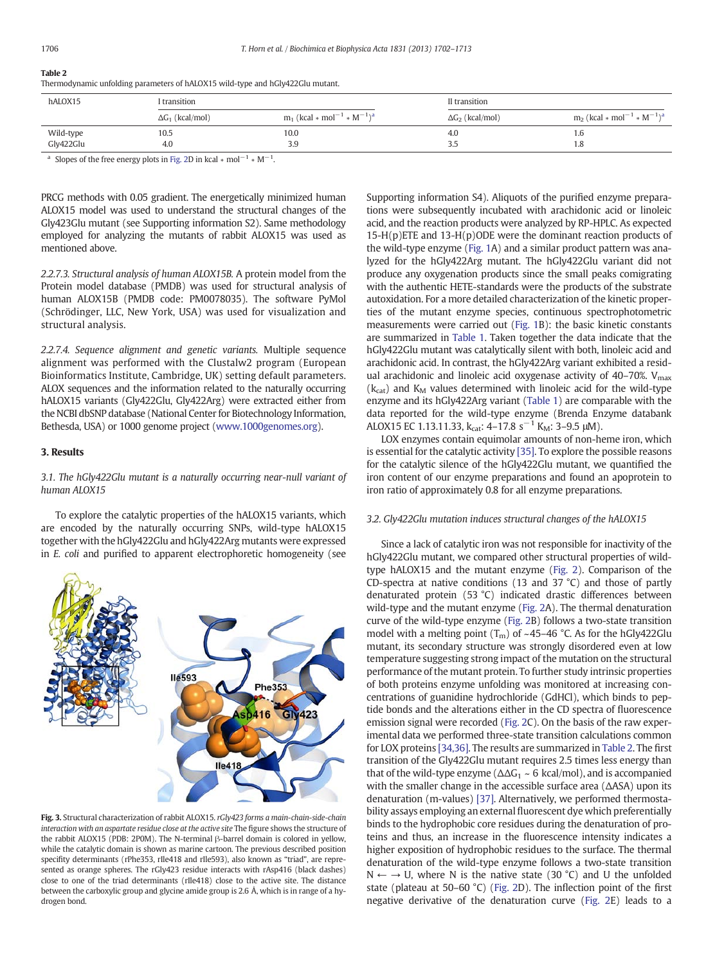# <span id="page-4-0"></span>Table 2

Thermodynamic unfolding parameters of hALOX15 wild-type and hGly422Glu mutant.

| hALOX15<br>transition |                         |                                                                      | II transition           |                                                                      |
|-----------------------|-------------------------|----------------------------------------------------------------------|-------------------------|----------------------------------------------------------------------|
|                       | $\Delta G_1$ (kcal/mol) | $m_1$ (kcal $*$ mol <sup>-1</sup> $*$ M <sup>-1</sup> ) <sup>a</sup> | $\Delta G_2$ (kcal/mol) | $m_2$ (kcal $*$ mol <sup>-1</sup> $*$ M <sup>-1</sup> ) <sup>a</sup> |
| Wild-type             | 10.5                    | 10.0                                                                 | 4.0                     | 1.0                                                                  |
| Gly422Glu             | 4.0                     | 3.9                                                                  | ر.ر                     | 1.8                                                                  |

<sup>a</sup> Slopes of the free energy plots in [Fig. 2D](#page-3-0) in kcal ∗ mol<sup>-1</sup> ∗ M<sup>-1</sup>.

PRCG methods with 0.05 gradient. The energetically minimized human ALOX15 model was used to understand the structural changes of the Gly423Glu mutant (see Supporting information S2). Same methodology employed for analyzing the mutants of rabbit ALOX15 was used as mentioned above.

2.2.7.3. Structural analysis of human ALOX15B. A protein model from the Protein model database (PMDB) was used for structural analysis of human ALOX15B (PMDB code: PM0078035). The software PyMol (Schrödinger, LLC, New York, USA) was used for visualization and structural analysis.

2.2.7.4. Sequence alignment and genetic variants. Multiple sequence alignment was performed with the Clustalw2 program (European Bioinformatics Institute, Cambridge, UK) setting default parameters. ALOX sequences and the information related to the naturally occurring hALOX15 variants (Gly422Glu, Gly422Arg) were extracted either from the NCBI dbSNP database (National Center for Biotechnology Information, Bethesda, USA) or 1000 genome project [\(www.1000genomes.org](http://www.1000genomes.org)).

#### 3. Results

3.1. The hGly422Glu mutant is a naturally occurring near-null variant of human ALOX15

To explore the catalytic properties of the hALOX15 variants, which are encoded by the naturally occurring SNPs, wild-type hALOX15 together with the hGly422Glu and hGly422Arg mutants were expressed in E. coli and purified to apparent electrophoretic homogeneity (see



Fig. 3. Structural characterization of rabbit ALOX15. rGly423 forms a main-chain-side-chain interaction with an aspartate residue close at the active site The figure shows the structure of the rabbit ALOX15 (PDB: 2P0M). The N-terminal β-barrel domain is colored in yellow, while the catalytic domain is shown as marine cartoon. The previous described position specifity determinants (rPhe353, rIle418 and rIle593), also known as "triad", are represented as orange spheres. The rGly423 residue interacts with rAsp416 (black dashes) close to one of the triad determinants (rIle418) close to the active site. The distance between the carboxylic group and glycine amide group is 2.6 Å, which is in range of a hydrogen bond.

Supporting information S4). Aliquots of the purified enzyme preparations were subsequently incubated with arachidonic acid or linoleic acid, and the reaction products were analyzed by RP-HPLC. As expected 15-H(p)ETE and 13-H(p)ODE were the dominant reaction products of the wild-type enzyme ([Fig. 1](#page-2-0)A) and a similar product pattern was analyzed for the hGly422Arg mutant. The hGly422Glu variant did not produce any oxygenation products since the small peaks comigrating with the authentic HETE-standards were the products of the substrate autoxidation. For a more detailed characterization of the kinetic properties of the mutant enzyme species, continuous spectrophotometric measurements were carried out ([Fig. 1](#page-2-0)B): the basic kinetic constants are summarized in [Table 1.](#page-2-0) Taken together the data indicate that the hGly422Glu mutant was catalytically silent with both, linoleic acid and arachidonic acid. In contrast, the hGly422Arg variant exhibited a residual arachidonic and linoleic acid oxygenase activity of  $40-70\%$ . V<sub>max</sub>  $(k<sub>cat</sub>)$  and  $K<sub>M</sub>$  values determined with linoleic acid for the wild-type enzyme and its hGly422Arg variant ([Table 1](#page-2-0)) are comparable with the data reported for the wild-type enzyme (Brenda Enzyme databank ALOX15 EC 1.13.11.33,  $k_{cat}$ : 4–17.8 s<sup>-1</sup> K<sub>M</sub>: 3–9.5 µM).

LOX enzymes contain equimolar amounts of non-heme iron, which is essential for the catalytic activity [\[35\].](#page-11-0) To explore the possible reasons for the catalytic silence of the hGly422Glu mutant, we quantified the iron content of our enzyme preparations and found an apoprotein to iron ratio of approximately 0.8 for all enzyme preparations.

#### 3.2. Gly422Glu mutation induces structural changes of the hALOX15

Since a lack of catalytic iron was not responsible for inactivity of the hGly422Glu mutant, we compared other structural properties of wildtype hALOX15 and the mutant enzyme [\(Fig. 2](#page-3-0)). Comparison of the CD-spectra at native conditions (13 and 37 °C) and those of partly denaturated protein (53 °C) indicated drastic differences between wild-type and the mutant enzyme ([Fig. 2A](#page-3-0)). The thermal denaturation curve of the wild-type enzyme [\(Fig. 2B](#page-3-0)) follows a two-state transition model with a melting point  $(T_m)$  of ~45–46 °C. As for the hGly422Glu mutant, its secondary structure was strongly disordered even at low temperature suggesting strong impact of the mutation on the structural performance of the mutant protein. To further study intrinsic properties of both proteins enzyme unfolding was monitored at increasing concentrations of guanidine hydrochloride (GdHCl), which binds to peptide bonds and the alterations either in the CD spectra of fluorescence emission signal were recorded [\(Fig. 2C](#page-3-0)). On the basis of the raw experimental data we performed three-state transition calculations common for LOX proteins [\[34,36\]](#page-11-0). The results are summarized in Table 2. The first transition of the Gly422Glu mutant requires 2.5 times less energy than that of the wild-type enzyme ( $\Delta\Delta G_1 \sim 6$  kcal/mol), and is accompanied with the smaller change in the accessible surface area (ΔASA) upon its denaturation (m-values) [\[37\]](#page-11-0). Alternatively, we performed thermostability assays employing an external fluorescent dye which preferentially binds to the hydrophobic core residues during the denaturation of proteins and thus, an increase in the fluorescence intensity indicates a higher exposition of hydrophobic residues to the surface. The thermal denaturation of the wild-type enzyme follows a two-state transition  $N \leftarrow \rightarrow U$ , where N is the native state (30 °C) and U the unfolded state (plateau at 50–60 °C) ([Fig. 2](#page-3-0)D). The inflection point of the first negative derivative of the denaturation curve [\(Fig. 2](#page-3-0)E) leads to a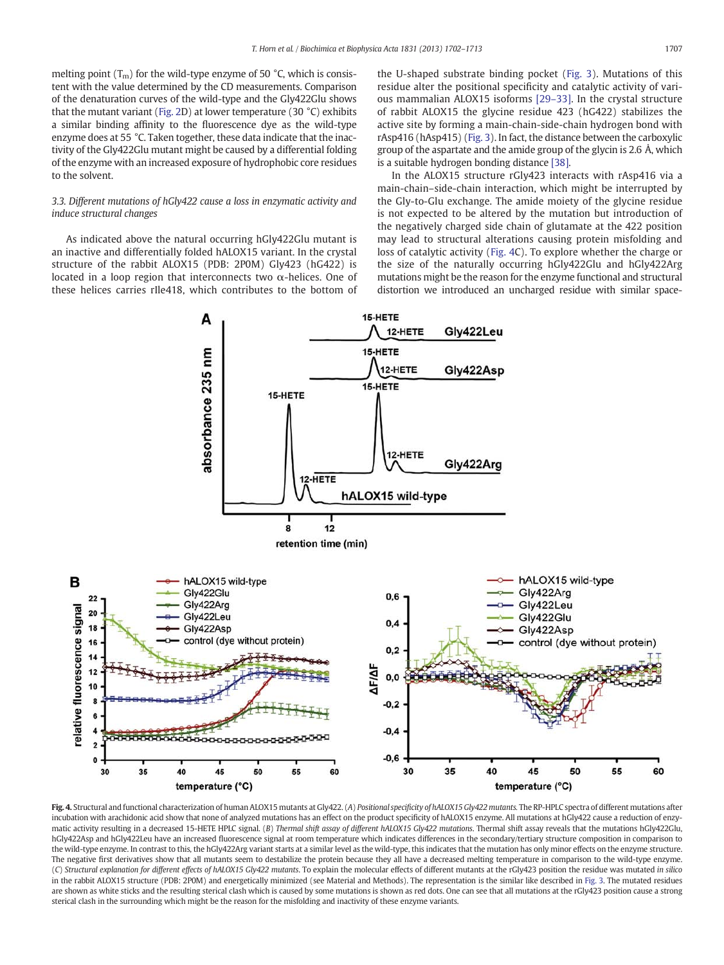<span id="page-5-0"></span>melting point  $(T_m)$  for the wild-type enzyme of 50 °C, which is consistent with the value determined by the CD measurements. Comparison of the denaturation curves of the wild-type and the Gly422Glu shows that the mutant variant ([Fig. 2](#page-3-0)D) at lower temperature (30 °C) exhibits a similar binding affinity to the fluorescence dye as the wild-type enzyme does at 55 °C. Taken together, these data indicate that the inactivity of the Gly422Glu mutant might be caused by a differential folding of the enzyme with an increased exposure of hydrophobic core residues to the solvent.

# 3.3. Different mutations of hGly422 cause a loss in enzymatic activity and induce structural changes

As indicated above the natural occurring hGly422Glu mutant is an inactive and differentially folded hALOX15 variant. In the crystal structure of the rabbit ALOX15 (PDB: 2P0M) Gly423 (hG422) is located in a loop region that interconnects two α-helices. One of these helices carries rIle418, which contributes to the bottom of the U-shaped substrate binding pocket [\(Fig. 3](#page-4-0)). Mutations of this residue alter the positional specificity and catalytic activity of various mammalian ALOX15 isoforms [\[29](#page-10-0)–33]. In the crystal structure of rabbit ALOX15 the glycine residue 423 (hG422) stabilizes the active site by forming a main-chain-side-chain hydrogen bond with rAsp416 (hAsp415) [\(Fig. 3](#page-4-0)). In fact, the distance between the carboxylic group of the aspartate and the amide group of the glycin is 2.6 Å, which is a suitable hydrogen bonding distance [\[38\].](#page-11-0)

In the ALOX15 structure rGly423 interacts with rAsp416 via a main-chain–side-chain interaction, which might be interrupted by the Gly-to-Glu exchange. The amide moiety of the glycine residue is not expected to be altered by the mutation but introduction of the negatively charged side chain of glutamate at the 422 position may lead to structural alterations causing protein misfolding and loss of catalytic activity (Fig. 4C). To explore whether the charge or the size of the naturally occurring hGly422Glu and hGly422Arg mutations might be the reason for the enzyme functional and structural distortion we introduced an uncharged residue with similar space-



Fig. 4. Structural and functional characterization of human ALOX15 mutants at Gly422. (A) Positional specificity of hALOX15 Gly422 mutants. The RP-HPLC spectra of different mutations after incubation with arachidonic acid show that none of analyzed mutations has an effect on the product specificity of hALOX15 enzyme. All mutations at hGly422 cause a reduction of enzymatic activity resulting in a decreased 15-HETE HPLC signal. (B) Thermal shift assay of different hALOX15 Gly422 mutations. Thermal shift assay reveals that the mutations hGly422Glu, hGly422Asp and hGly422Leu have an increased fluorescence signal at room temperature which indicates differences in the secondary/tertiary structure composition in comparison to the wild-type enzyme. In contrast to this, the hGly422Arg variant starts at a similar level as the wild-type, this indicates that the mutation has only minor effects on the enzyme structure. The negative first derivatives show that all mutants seem to destabilize the protein because they all have a decreased melting temperature in comparison to the wild-type enzyme. (C) Structural explanation for different effects of hALOX15 Gly422 mutants. To explain the molecular effects of different mutants at the rGly423 position the residue was mutated in silico in the rabbit ALOX15 structure (PDB: 2P0M) and energetically minimized (see Material and Methods). The representation is the similar like described in [Fig. 3](#page-4-0). The mutated residues are shown as white sticks and the resulting sterical clash which is caused by some mutations is shown as red dots. One can see that all mutations at the rGly423 position cause a strong sterical clash in the surrounding which might be the reason for the misfolding and inactivity of these enzyme variants.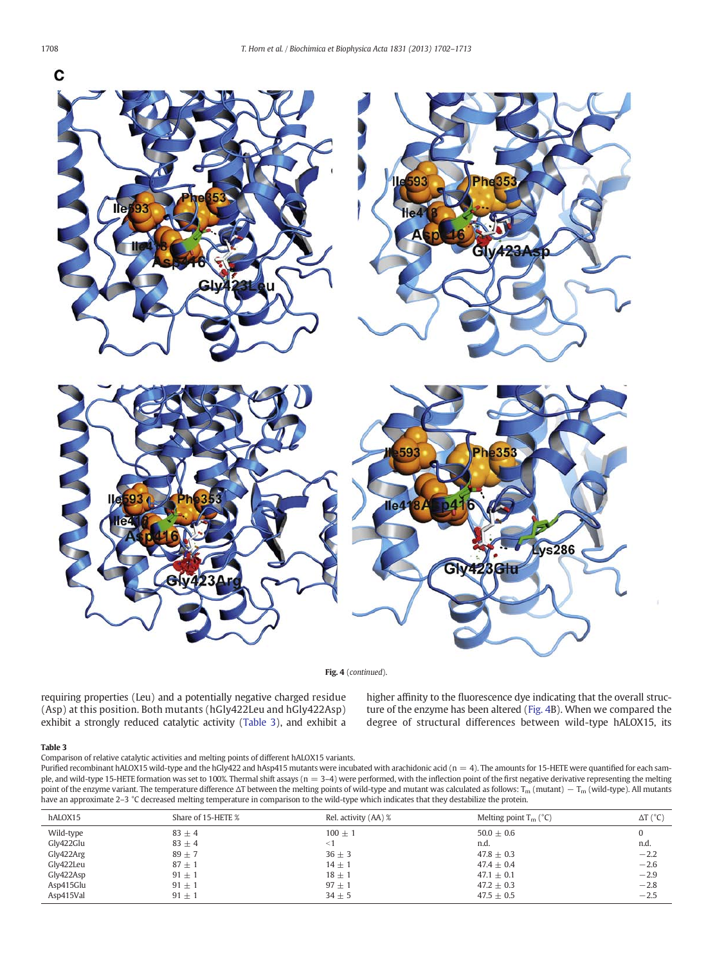

Fig. 4 (continued).

requiring properties (Leu) and a potentially negative charged residue (Asp) at this position. Both mutants (hGly422Leu and hGly422Asp) exhibit a strongly reduced catalytic activity (Table 3), and exhibit a higher affinity to the fluorescence dye indicating that the overall structure of the enzyme has been altered ([Fig. 4](#page-5-0)B). When we compared the degree of structural differences between wild-type hALOX15, its

#### Table 3

Comparison of relative catalytic activities and melting points of different hALOX15 variants.

Purified recombinant hALOX15 wild-type and the hGly422 and hAsp415 mutants were incubated with arachidonic acid ( $n = 4$ ). The amounts for 15-HETE were quantified for each sample, and wild-type 15-HETE formation was set to 100%. Thermal shift assays ( $n = 3-4$ ) were performed, with the inflection point of the first negative derivative representing the melting point of the enzyme variant. The temperature difference  $\Delta T$  between the melting points of wild-type and mutant was calculated as follows: T<sub>m</sub> (mutant) – T<sub>m</sub> (wild-type). All mutants have an approximate 2–3 °C decreased melting temperature in comparison to the wild-type which indicates that they destabilize the protein.

| hALOX15   | Share of 15-HETE % | Rel. activity (AA) % | Melting point $T_m$ ( ${}^{\circ}$ C) | $\Delta T$ ( $^{\circ}$ C) |
|-----------|--------------------|----------------------|---------------------------------------|----------------------------|
| Wild-type | $83 \pm 4$         | $100 \pm 1$          | $50.0 + 0.6$                          |                            |
| Gly422Glu | $83 \pm 4$         | $<$ 1                | n.d.                                  | n.d.                       |
| Gly422Arg | $89 \pm 7$         | $36 \pm 3$           | $47.8 + 0.3$                          | $-2.2$                     |
| Gly422Leu | $87 \pm 1$         | $14 + 1$             | $47.4 + 0.4$                          | $-2.6$                     |
| Gly422Asp | $91 \pm 1$         | $18 \pm 1$           | 47.1 $\pm$ 0.1                        | $-2.9$                     |
| Asp415Glu | $91 \pm 1$         | $97 + 1$             | $47.2 \pm 0.3$                        | $-2.8$                     |
| Asp415Val | $91 \pm 1$         | $34 \pm 5$           | 47.5 $\pm$ 0.5                        | $-2.5$                     |

<span id="page-6-0"></span>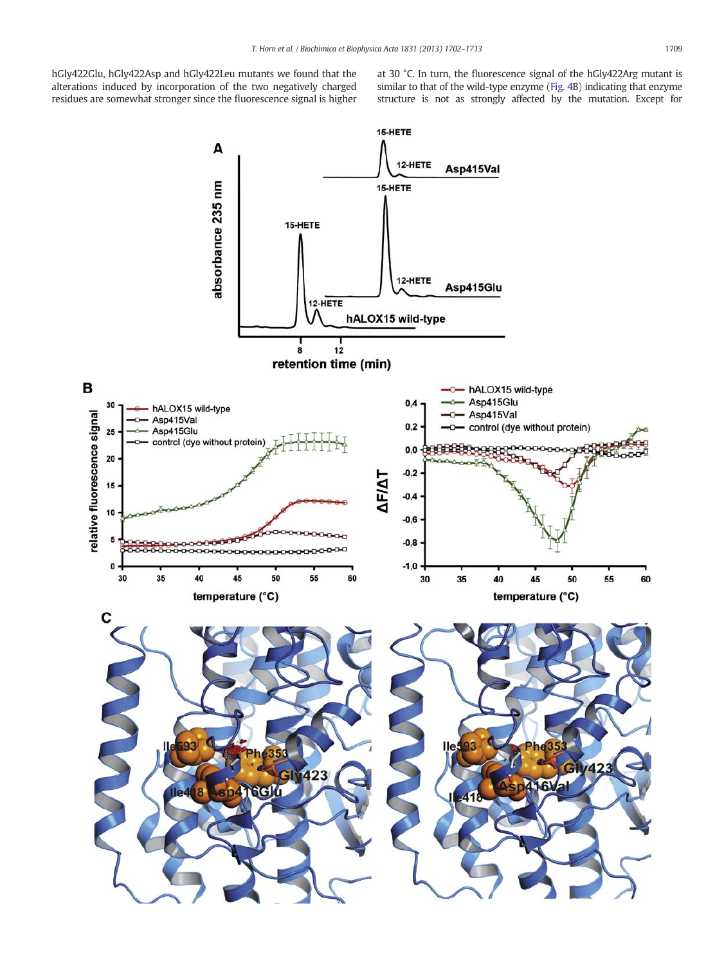hGly422Glu, hGly422Asp and hGly422Leu mutants we found that the alterations induced by incorporation of the two negatively charged residues are somewhat stronger since the fluorescence signal is higher at 30 °C. In turn, the fluorescence signal of the hGly422Arg mutant is similar to that of the wild-type enzyme [\(Fig. 4](#page-5-0)B) indicating that enzyme structure is not as strongly affected by the mutation. Except for

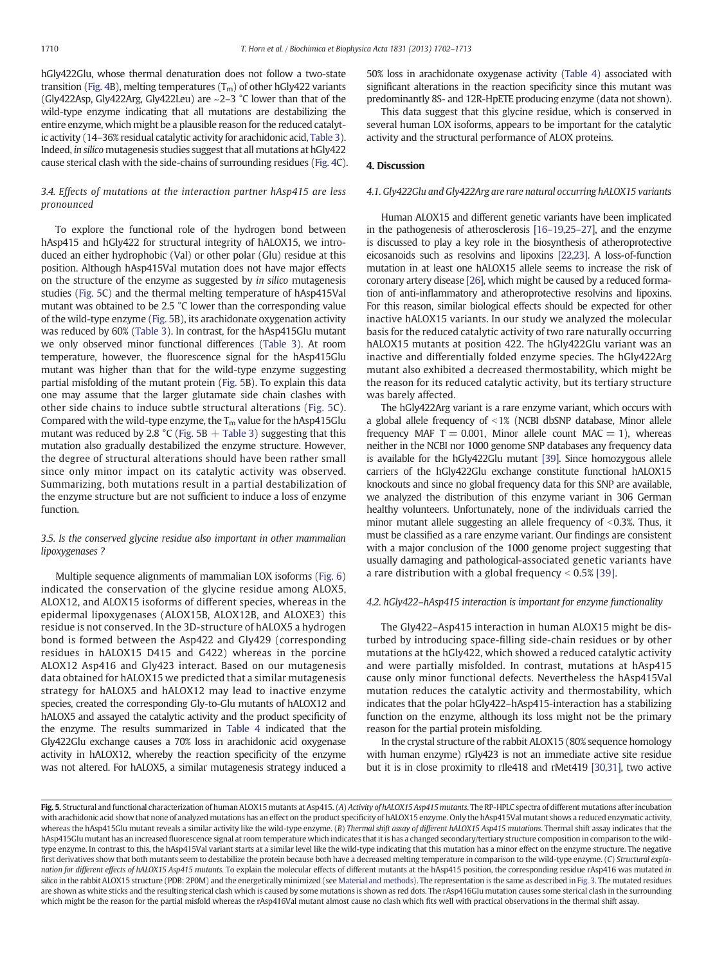hGly422Glu, whose thermal denaturation does not follow a two-state transition [\(Fig. 4](#page-5-0)B), melting temperatures  $(T_m)$  of other hGly422 variants (Gly422Asp, Gly422Arg, Gly422Leu) are ~2–3 °C lower than that of the wild-type enzyme indicating that all mutations are destabilizing the entire enzyme, which might be a plausible reason for the reduced catalytic activity (14–36% residual catalytic activity for arachidonic acid, [Table 3\)](#page-6-0). Indeed, in silico mutagenesis studies suggest that all mutations at hGly422 cause sterical clash with the side-chains of surrounding residues [\(Fig. 4C](#page-5-0)).

# 3.4. Effects of mutations at the interaction partner hAsp415 are less pronounced

To explore the functional role of the hydrogen bond between hAsp415 and hGly422 for structural integrity of hALOX15, we introduced an either hydrophobic (Val) or other polar (Glu) residue at this position. Although hAsp415Val mutation does not have major effects on the structure of the enzyme as suggested by in silico mutagenesis studies (Fig. 5C) and the thermal melting temperature of hAsp415Val mutant was obtained to be 2.5 °C lower than the corresponding value of the wild-type enzyme (Fig. 5B), its arachidonate oxygenation activity was reduced by 60% ([Table 3](#page-6-0)). In contrast, for the hAsp415Glu mutant we only observed minor functional differences ([Table 3](#page-6-0)). At room temperature, however, the fluorescence signal for the hAsp415Glu mutant was higher than that for the wild-type enzyme suggesting partial misfolding of the mutant protein (Fig. 5B). To explain this data one may assume that the larger glutamate side chain clashes with other side chains to induce subtle structural alterations (Fig. 5C). Compared with the wild-type enzyme, the  $T_m$  value for the hAsp415Glu mutant was reduced by 2.8 °C (Fig. 5B  $+$  [Table 3](#page-6-0)) suggesting that this mutation also gradually destabilized the enzyme structure. However, the degree of structural alterations should have been rather small since only minor impact on its catalytic activity was observed. Summarizing, both mutations result in a partial destabilization of the enzyme structure but are not sufficient to induce a loss of enzyme function.

### 3.5. Is the conserved glycine residue also important in other mammalian lipoxygenases ?

Multiple sequence alignments of mammalian LOX isoforms [\(Fig. 6](#page-9-0)) indicated the conservation of the glycine residue among ALOX5, ALOX12, and ALOX15 isoforms of different species, whereas in the epidermal lipoxygenases (ALOX15B, ALOX12B, and ALOXE3) this residue is not conserved. In the 3D-structure of hALOX5 a hydrogen bond is formed between the Asp422 and Gly429 (corresponding residues in hALOX15 D415 and G422) whereas in the porcine ALOX12 Asp416 and Gly423 interact. Based on our mutagenesis data obtained for hALOX15 we predicted that a similar mutagenesis strategy for hALOX5 and hALOX12 may lead to inactive enzyme species, created the corresponding Gly-to-Glu mutants of hALOX12 and hALOX5 and assayed the catalytic activity and the product specificity of the enzyme. The results summarized in [Table 4](#page-9-0) indicated that the Gly422Glu exchange causes a 70% loss in arachidonic acid oxygenase activity in hALOX12, whereby the reaction specificity of the enzyme was not altered. For hALOX5, a similar mutagenesis strategy induced a

50% loss in arachidonate oxygenase activity [\(Table 4](#page-9-0)) associated with significant alterations in the reaction specificity since this mutant was predominantly 8S- and 12R-HpETE producing enzyme (data not shown).

This data suggest that this glycine residue, which is conserved in several human LOX isoforms, appears to be important for the catalytic activity and the structural performance of ALOX proteins.

#### 4. Discussion

#### 4.1. Gly422Glu and Gly422Arg are rare natural occurring hALOX15 variants

Human ALOX15 and different genetic variants have been implicated in the pathogenesis of atherosclerosis [16–[19,25](#page-10-0)–27], and the enzyme is discussed to play a key role in the biosynthesis of atheroprotective eicosanoids such as resolvins and lipoxins [\[22,23\].](#page-10-0) A loss-of-function mutation in at least one hALOX15 allele seems to increase the risk of coronary artery disease [\[26\],](#page-10-0) which might be caused by a reduced formation of anti-inflammatory and atheroprotective resolvins and lipoxins. For this reason, similar biological effects should be expected for other inactive hALOX15 variants. In our study we analyzed the molecular basis for the reduced catalytic activity of two rare naturally occurring hALOX15 mutants at position 422. The hGly422Glu variant was an inactive and differentially folded enzyme species. The hGly422Arg mutant also exhibited a decreased thermostability, which might be the reason for its reduced catalytic activity, but its tertiary structure was barely affected.

The hGly422Arg variant is a rare enzyme variant, which occurs with a global allele frequency of  $\leq$ 1% (NCBI dbSNP database, Minor allele frequency MAF  $T = 0.001$ . Minor allele count MAC  $= 1$ ), whereas neither in the NCBI nor 1000 genome SNP databases any frequency data is available for the hGly422Glu mutant [\[39\].](#page-11-0) Since homozygous allele carriers of the hGly422Glu exchange constitute functional hALOX15 knockouts and since no global frequency data for this SNP are available, we analyzed the distribution of this enzyme variant in 306 German healthy volunteers. Unfortunately, none of the individuals carried the minor mutant allele suggesting an allele frequency of  $<$ 0.3%. Thus, it must be classified as a rare enzyme variant. Our findings are consistent with a major conclusion of the 1000 genome project suggesting that usually damaging and pathological-associated genetic variants have a rare distribution with a global frequency  $< 0.5\%$  [\[39\]](#page-11-0).

#### 4.2. hGly422–hAsp415 interaction is important for enzyme functionality

The Gly422–Asp415 interaction in human ALOX15 might be disturbed by introducing space-filling side-chain residues or by other mutations at the hGly422, which showed a reduced catalytic activity and were partially misfolded. In contrast, mutations at hAsp415 cause only minor functional defects. Nevertheless the hAsp415Val mutation reduces the catalytic activity and thermostability, which indicates that the polar hGly422–hAsp415-interaction has a stabilizing function on the enzyme, although its loss might not be the primary reason for the partial protein misfolding.

In the crystal structure of the rabbit ALOX15 (80% sequence homology with human enzyme) rGly423 is not an immediate active site residue but it is in close proximity to rIle418 and rMet419 [\[30,31\],](#page-10-0) two active

Fig. 5. Structural and functional characterization of human ALOX15 mutants at Asp415. (A) Activity of hALOX15 Asp415 mutants. The RP-HPLC spectra of different mutations after incubation with arachidonic acid show that none of analyzed mutations has an effect on the product specificity of hALOX15 enzyme. Only the hAsp415Val mutant shows a reduced enzymatic activity, whereas the hAsp415Glu mutant reveals a similar activity like the wild-type enzyme. (B) Thermal shift assay of different hALOX15 Asp415 mutations. Thermal shift assay indicates that the hAsp415Glu mutant has an increased fluorescence signal at room temperature which indicates that it is has a changed secondary/tertiary structure composition in comparison to the wildtype enzyme. In contrast to this, the hAsp415Val variant starts at a similar level like the wild-type indicating that this mutation has a minor effect on the enzyme structure. The negative first derivatives show that both mutants seem to destabilize the protein because both have a decreased melting temperature in comparison to the wild-type enzyme. (C) Structural explanation for different effects of hALOX15 Asp415 mutants. To explain the molecular effects of different mutants at the hAsp415 position, the corresponding residue rAsp416 was mutated in silico in the rabbit ALOX15 structure (PDB: 2P0M) and the energetically minimized (see [Material and methods](#page-1-0)). The representation is the same as described in [Fig. 3](#page-4-0). The mutated residues are shown as white sticks and the resulting sterical clash which is caused by some mutations is shown as red dots. The rAsp416Glu mutation causes some sterical clash in the surrounding which might be the reason for the partial misfold whereas the rAsp416Val mutant almost cause no clash which fits well with practical observations in the thermal shift assay.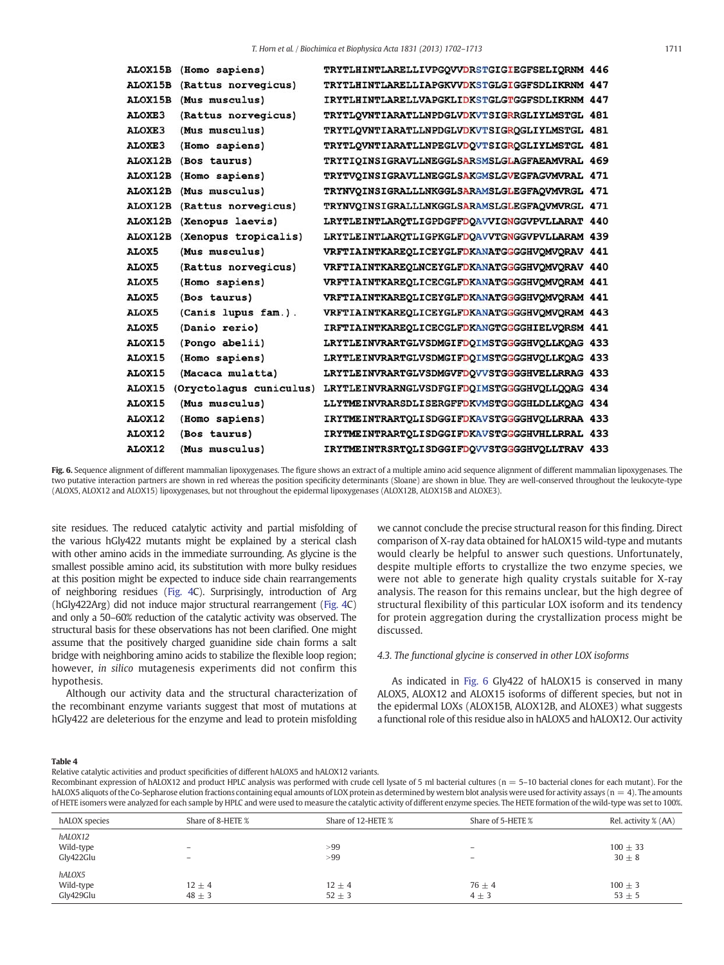<span id="page-9-0"></span>

| <b>ALOX15B</b> | (Homo sapiens)          | TRYTLHINTLARELLIVPGQVVDRSTGIGIEGFSELIQRNM 446 |  |
|----------------|-------------------------|-----------------------------------------------|--|
| ALOX15B        | (Rattus norvegicus)     | TRYTLHINTLARELLIAPGKVVDKSTGLGIGGFSDLIKRNM 447 |  |
| ALOX15B        | (Mus musculus)          | IRYTLHINTLARELLVAPGKLIDKSTGLGTGGFSDLIKRNM 447 |  |
| ALOXE3         | (Rattus norvegicus)     | TRYTLQVNTIARATLLNPDGLVDKVTSIGRRGLIYLMSTGL 481 |  |
| ALOXE3         | (Mus musculus)          | TRYTLQVNTIARATLLNPDGLVDKVTSIGRQGLIYLMSTGL 481 |  |
| ALOXE3         | (Homo sapiens)          | TRYTLOVNTIARATLLNPEGLVDOVTSIGROGLIYLMSTGL 481 |  |
| <b>ALOX12B</b> | (Bos taurus)            | TRYTIOINSIGRAVLLNEGGLSARSMSLGLAGFAEAMVRAL 469 |  |
| ALOX12B        | (Homo sapiens)          | TRYTVOINSIGRAVLLNEGGLSAKGMSLGVEGFAGVMVRAL 471 |  |
| ALOX12B        | (Mus musculus)          | TRYNVOINSIGRALLLNKGGLSARAMSLGLEGFAQVMVRGL 471 |  |
| ALOX12B        | (Rattus norvegicus)     | TRYNVOINSIGRALLLNKGGLSARAMSLGLEGFAQVMVRGL 471 |  |
| ALOX12B        | (Xenopus laevis)        | LRYTLEINTLAROTLIGPDGFFDOAVVIGNGGVPVLLARAT 440 |  |
| ALOX12B        | (Xenopus tropicalis)    | LRYTLEINTLAROTLIGPKGLFDOAVVTGNGGVPVLLARAM 439 |  |
| ALOX5          | (Mus musculus)          | VRFTIAINTKAREOLICEYGLFDKANATGGGGHVOMVORAV 441 |  |
| ALOX5          | (Rattus norvegicus)     | VRFTIAINTKAREQLNCEYGLFDKANATGGGGHVQMVQRAV 440 |  |
| ALOX5          | (Homo sapiens)          | VRFTIAINTKAREOLICECGLFDKANATGGGGHVOMVORAM 441 |  |
| ALOX5          | (Bos taurus)            | VRFTIAINTKAREQLICEYGLFDKANATGGGGHVQMVQRAM 441 |  |
| ALOX5          | (Canis lupus fam.).     | VRFTIAINTKAREQLICEYGLFDKANATGGGGHVQMVQRAM 443 |  |
| ALOX5          | (Danio rerio)           | IRFTIAINTKAREOLICECGLFDKANGTGGGGHIELVORSM 441 |  |
| ALOX15         | (Pongo abelii)          | LRYTLEINVRARTGLVSDMGIFDQIMSTGGGGHVQLLKQAG 433 |  |
| ALOX15         | (Homo sapiens)          | LRYTLEINVRARTGLVSDMGIFDOIMSTGGGGHVOLLKOAG 433 |  |
| ALOX15         | (Macaca mulatta)        | LRYTLEINVRARTGLVSDMGVFDOVVSTGGGGHVELLRRAG 433 |  |
| ALOX15         | (Oryctolagus cuniculus) | LRYTLEINVRARNGLVSDFGIFDQIMSTGGGGHVQLLQQAG 434 |  |
| ALOX15         | (Mus musculus)          | LLYTMEINVRARSDLISERGFFDKVMSTGGGGHLDLLKQAG 434 |  |
| ALOX12         | (Homo sapiens)          | IRYTMEINTRARTQLISDGGIFDKAVSTGGGGHVQLLRRAA 433 |  |
| ALOX12         | (Bos taurus)            | IRYTMEINTRARTOLISDGGIFDKAVSTGGGGHVHLLRRAL 433 |  |
| ALOX12         | (Mus musculus)          | IRYTMEINTRSRTQLISDGGIFDQVVSTGGGGHVQLLTRAV 433 |  |
|                |                         |                                               |  |

Fig. 6. Sequence alignment of different mammalian lipoxygenases. The figure shows an extract of a multiple amino acid sequence alignment of different mammalian lipoxygenases. The two putative interaction partners are shown in red whereas the position specificity determinants (Sloane) are shown in blue. They are well-conserved throughout the leukocyte-type (ALOX5, ALOX12 and ALOX15) lipoxygenases, but not throughout the epidermal lipoxygenases (ALOX12B, ALOX15B and ALOXE3).

site residues. The reduced catalytic activity and partial misfolding of the various hGly422 mutants might be explained by a sterical clash with other amino acids in the immediate surrounding. As glycine is the smallest possible amino acid, its substitution with more bulky residues at this position might be expected to induce side chain rearrangements of neighboring residues [\(Fig. 4C](#page-5-0)). Surprisingly, introduction of Arg (hGly422Arg) did not induce major structural rearrangement ([Fig. 4C](#page-5-0)) and only a 50–60% reduction of the catalytic activity was observed. The structural basis for these observations has not been clarified. One might assume that the positively charged guanidine side chain forms a salt bridge with neighboring amino acids to stabilize the flexible loop region; however, in silico mutagenesis experiments did not confirm this hypothesis.

Although our activity data and the structural characterization of the recombinant enzyme variants suggest that most of mutations at hGly422 are deleterious for the enzyme and lead to protein misfolding we cannot conclude the precise structural reason for this finding. Direct comparison of X-ray data obtained for hALOX15 wild-type and mutants would clearly be helpful to answer such questions. Unfortunately, despite multiple efforts to crystallize the two enzyme species, we were not able to generate high quality crystals suitable for X-ray analysis. The reason for this remains unclear, but the high degree of structural flexibility of this particular LOX isoform and its tendency for protein aggregation during the crystallization process might be discussed.

## 4.3. The functional glycine is conserved in other LOX isoforms

As indicated in Fig. 6 Gly422 of hALOX15 is conserved in many ALOX5, ALOX12 and ALOX15 isoforms of different species, but not in the epidermal LOXs (ALOX15B, ALOX12B, and ALOXE3) what suggests a functional role of this residue also in hALOX5 and hALOX12. Our activity

#### Table 4

Relative catalytic activities and product specificities of different hALOX5 and hALOX12 variants.

Recombinant expression of hALOX12 and product HPLC analysis was performed with crude cell lysate of 5 ml bacterial cultures (n = 5-10 bacterial clones for each mutant). For the hALOX5 aliquots of the Co-Sepharose elution fractions containing equal amounts of LOX protein as determined by western blot analysis were used for activity assays (n = 4). The amounts of HETE isomers were analyzed for each sample by HPLC and were used to measure the catalytic activity of different enzyme species. The HETE formation of the wild-type was set to 100%.

| hALOX species                     | Share of 8-HETE %                             | Share of 12-HETE %       | Share of 5-HETE %                      | Rel. activity % (AA)    |
|-----------------------------------|-----------------------------------------------|--------------------------|----------------------------------------|-------------------------|
| hALOX12<br>Wild-type<br>Gly422Glu | $\qquad \qquad -$<br>$\overline{\phantom{m}}$ | >99<br>>99               | $\qquad \qquad -$<br>$\qquad \qquad -$ | $100 + 33$<br>$30 + 8$  |
| hALOX5<br>Wild-type<br>Gly429Glu  | $12 \pm 4$<br>$48 \pm 3$                      | $12 \pm 4$<br>$52 \pm 3$ | $76 \pm 4$<br>$4 \pm 3$                | $100 \pm 3$<br>$53 + 5$ |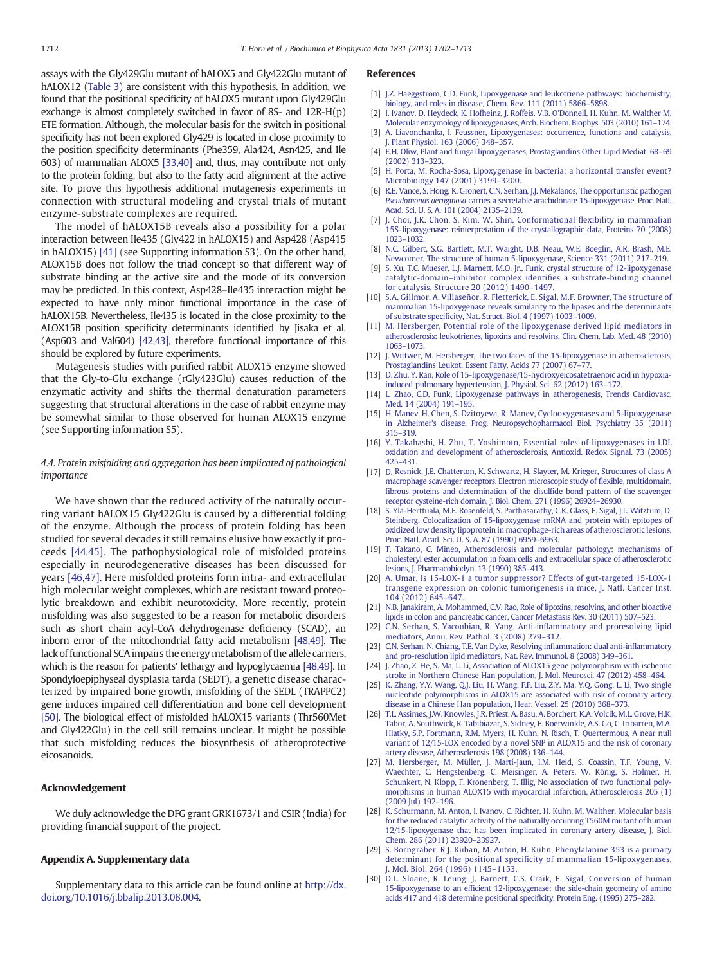<span id="page-10-0"></span>assays with the Gly429Glu mutant of hALOX5 and Gly422Glu mutant of hALOX12 [\(Table 3\)](#page-6-0) are consistent with this hypothesis. In addition, we found that the positional specificity of hALOX5 mutant upon Gly429Glu exchange is almost completely switched in favor of 8S- and 12R-H(p) ETE formation. Although, the molecular basis for the switch in positional specificity has not been explored Gly429 is located in close proximity to the position specificity determinants (Phe359, Ala424, Asn425, and Ile 603) of mammalian ALOX5 [\[33,40\]](#page-11-0) and, thus, may contribute not only to the protein folding, but also to the fatty acid alignment at the active site. To prove this hypothesis additional mutagenesis experiments in connection with structural modeling and crystal trials of mutant enzyme-substrate complexes are required.

The model of hALOX15B reveals also a possibility for a polar interaction between Ile435 (Gly422 in hALOX15) and Asp428 (Asp415 in hALOX15) [\[41\]](#page-11-0) (see Supporting information S3). On the other hand, ALOX15B does not follow the triad concept so that different way of substrate binding at the active site and the mode of its conversion may be predicted. In this context, Asp428–Ile435 interaction might be expected to have only minor functional importance in the case of hALOX15B. Nevertheless, Ile435 is located in the close proximity to the ALOX15B position specificity determinants identified by Jisaka et al. (Asp603 and Val604) [\[42,43\],](#page-11-0) therefore functional importance of this should be explored by future experiments.

Mutagenesis studies with purified rabbit ALOX15 enzyme showed that the Gly-to-Glu exchange (rGly423Glu) causes reduction of the enzymatic activity and shifts the thermal denaturation parameters suggesting that structural alterations in the case of rabbit enzyme may be somewhat similar to those observed for human ALOX15 enzyme (see Supporting information S5).

# 4.4. Protein misfolding and aggregation has been implicated of pathological importance

We have shown that the reduced activity of the naturally occurring variant hALOX15 Gly422Glu is caused by a differential folding of the enzyme. Although the process of protein folding has been studied for several decades it still remains elusive how exactly it proceeds [\[44,45\].](#page-11-0) The pathophysiological role of misfolded proteins especially in neurodegenerative diseases has been discussed for years [\[46,47\].](#page-11-0) Here misfolded proteins form intra- and extracellular high molecular weight complexes, which are resistant toward proteolytic breakdown and exhibit neurotoxicity. More recently, protein misfolding was also suggested to be a reason for metabolic disorders such as short chain acyl-CoA dehydrogenase deficiency (SCAD), an inborn error of the mitochondrial fatty acid metabolism [\[48,49\]](#page-11-0). The lack of functional SCA impairs the energy metabolism of the allele carriers, which is the reason for patients' lethargy and hypoglycaemia [\[48,49\].](#page-11-0) In Spondyloepiphyseal dysplasia tarda (SEDT), a genetic disease characterized by impaired bone growth, misfolding of the SEDL (TRAPPC2) gene induces impaired cell differentiation and bone cell development [\[50\]](#page-11-0). The biological effect of misfolded hALOX15 variants (Thr560Met and Gly422Glu) in the cell still remains unclear. It might be possible that such misfolding reduces the biosynthesis of atheroprotective eicosanoids.

#### Acknowledgement

We duly acknowledge the DFG grant GRK1673/1 and CSIR (India) for providing financial support of the project.

#### Appendix A. Supplementary data

Supplementary data to this article can be found online at [http://dx.](http://dx.doi.org/10.1016/j.bbalip.2013.08.004) [doi.org/10.1016/j.bbalip.2013.08.004.](http://dx.doi.org/10.1016/j.bbalip.2013.08.004)

#### References

- [1] [J.Z. Haeggström, C.D. Funk, Lipoxygenase and leukotriene pathways: biochemistry,](http://refhub.elsevier.com/S1388-1981(13)00164-9/rf0005) [biology, and roles in disease, Chem. Rev. 111 \(2011\) 5866](http://refhub.elsevier.com/S1388-1981(13)00164-9/rf0005)–5898.
- [2] [I. Ivanov, D. Heydeck, K. Hofheinz, J. Roffeis, V.B. O'Donnell, H. Kuhn, M. Walther M,](http://refhub.elsevier.com/S1388-1981(13)00164-9/rf0010) [Molecular enzymology of lipoxygenases, Arch. Biochem. Biophys. 503 \(2010\) 161](http://refhub.elsevier.com/S1388-1981(13)00164-9/rf0010)–174. [3] [A. Liavonchanka, I. Feussner, Lipoxygenases: occurrence, functions and catalysis,](http://refhub.elsevier.com/S1388-1981(13)00164-9/rf0235)
- [J. Plant Physiol. 163 \(2006\) 348](http://refhub.elsevier.com/S1388-1981(13)00164-9/rf0235)–357. [4] [E.H. Oliw, Plant and fungal lipoxygenases, Prostaglandins Other Lipid Mediat. 68](http://refhub.elsevier.com/S1388-1981(13)00164-9/rf0020)–69
- [\(2002\) 313](http://refhub.elsevier.com/S1388-1981(13)00164-9/rf0020)–323. [5] [H. Porta, M. Rocha-Sosa, Lipoxygenase in bacteria: a horizontal transfer event?](http://refhub.elsevier.com/S1388-1981(13)00164-9/rf0025)
- [Microbiology 147 \(2001\) 3199](http://refhub.elsevier.com/S1388-1981(13)00164-9/rf0025)–3200. [6] [R.E. Vance, S. Hong, K. Gronert, C.N. Serhan,](http://refhub.elsevier.com/S1388-1981(13)00164-9/rf0030) J.J. Mekalanos, The opportunistic pathogen Pseudomonas aeruginosa [carries a secretable arachidonate 15-lipoxygenase, Proc. Natl.](http://refhub.elsevier.com/S1388-1981(13)00164-9/rf0030)
- [Acad. Sci. U. S. A. 101 \(2004\) 2135](http://refhub.elsevier.com/S1388-1981(13)00164-9/rf0030)–2139. [7] [J. Choi, J.K. Chon, S. Kim, W. Shin, Conformational](http://refhub.elsevier.com/S1388-1981(13)00164-9/rf0035) flexibility in mammalian [15S-lipoxygenase: reinterpretation of the crystallographic data, Proteins 70 \(2008\)](http://refhub.elsevier.com/S1388-1981(13)00164-9/rf0035) [1023](http://refhub.elsevier.com/S1388-1981(13)00164-9/rf0035)–1032.
- [8] [N.C. Gilbert, S.G. Bartlett, M.T. Waight, D.B. Neau, W.E. Boeglin, A.R. Brash, M.E.](http://refhub.elsevier.com/S1388-1981(13)00164-9/rf0040) [Newcomer, The structure of human 5-lipoxygenase, Science 331 \(2011\) 217](http://refhub.elsevier.com/S1388-1981(13)00164-9/rf0040)–219.
- [9] [S. Xu, T.C. Mueser, L.J. Marnett, M.O. Jr., Funk, crystal structure of 12-lipoxygenase](http://refhub.elsevier.com/S1388-1981(13)00164-9/rf0045) catalytic-domain–inhibitor complex identifi[es a substrate-binding channel](http://refhub.elsevier.com/S1388-1981(13)00164-9/rf0045) [for catalysis, Structure 20 \(2012\) 1490](http://refhub.elsevier.com/S1388-1981(13)00164-9/rf0045)–1497.
- [10] [S.A. Gillmor, A. Villaseñor, R. Fletterick, E. Sigal, M.F. Browner, The structure of](http://refhub.elsevier.com/S1388-1981(13)00164-9/rf0050) [mammalian 15-lipoxygenase reveals similarity to the lipases and the determinants](http://refhub.elsevier.com/S1388-1981(13)00164-9/rf0050) of substrate specifi[city, Nat. Struct. Biol. 4 \(1997\) 1003](http://refhub.elsevier.com/S1388-1981(13)00164-9/rf0050)–1009.
- [11] [M. Hersberger, Potential role of the lipoxygenase derived lipid mediators in](http://refhub.elsevier.com/S1388-1981(13)00164-9/rf0055) [atherosclerosis: leukotrienes, lipoxins and resolvins, Clin. Chem. Lab. Med. 48 \(2010\)](http://refhub.elsevier.com/S1388-1981(13)00164-9/rf0055) [1063](http://refhub.elsevier.com/S1388-1981(13)00164-9/rf0055)–1073.
- [12] [J. Wittwer, M. Hersberger, The two faces of the 15-lipoxygenase in atherosclerosis,](http://refhub.elsevier.com/S1388-1981(13)00164-9/rf0060) [Prostaglandins Leukot. Essent Fatty. Acids 77 \(2007\) 67](http://refhub.elsevier.com/S1388-1981(13)00164-9/rf0060)–77.
- [13] [D. Zhu, Y. Ran, Role of 15-lipoxygenase/15-hydroxyeicosatetraenoic acid in hypoxia](http://refhub.elsevier.com/S1388-1981(13)00164-9/rf0065)[induced pulmonary hypertension, J. Physiol. Sci. 62 \(2012\) 163](http://refhub.elsevier.com/S1388-1981(13)00164-9/rf0065)–172.
- [14] [L. Zhao, C.D. Funk, Lipoxygenase pathways in atherogenesis, Trends Cardiovasc.](http://refhub.elsevier.com/S1388-1981(13)00164-9/rf0070) [Med. 14 \(2004\) 191](http://refhub.elsevier.com/S1388-1981(13)00164-9/rf0070)–195.
- [15] [H. Manev, H. Chen, S. Dzitoyeva, R. Manev, Cyclooxygenases and 5-lipoxygenase](http://refhub.elsevier.com/S1388-1981(13)00164-9/rf0075) [in Alzheimer's disease, Prog. Neuropsychopharmacol Biol. Psychiatry 35 \(2011\)](http://refhub.elsevier.com/S1388-1981(13)00164-9/rf0075) [315](http://refhub.elsevier.com/S1388-1981(13)00164-9/rf0075)–319.
- [16] [Y. Takahashi, H. Zhu, T. Yoshimoto, Essential roles of lipoxygenases in LDL](http://refhub.elsevier.com/S1388-1981(13)00164-9/rf0080) [oxidation and development of atherosclerosis, Antioxid. Redox Signal. 73 \(2005\)](http://refhub.elsevier.com/S1388-1981(13)00164-9/rf0080) [425](http://refhub.elsevier.com/S1388-1981(13)00164-9/rf0080)–431.
- [17] D. [Resnick, J.E. Chatterton, K. Schwartz, H. Slayter, M. Krieger, Structures of class A](http://refhub.elsevier.com/S1388-1981(13)00164-9/rf0085) [macrophage scavenger receptors. Electron microscopic study of](http://refhub.elsevier.com/S1388-1981(13)00164-9/rf0085) flexible, multidomain, fi[brous proteins and determination of the disul](http://refhub.elsevier.com/S1388-1981(13)00164-9/rf0085)fide bond pattern of the scavenger [receptor cysteine-rich domain, J. Biol. Chem. 271 \(1996\) 26924](http://refhub.elsevier.com/S1388-1981(13)00164-9/rf0085)–26930.
- [18] [S. Ylä-Herttuala, M.E. Rosenfeld, S. Parthasarathy, C.K. Glass, E. Sigal, J.L. Witztum, D.](http://refhub.elsevier.com/S1388-1981(13)00164-9/rf0090) [Steinberg, Colocalization of 15-lipoxygenase mRNA and protein with epitopes of](http://refhub.elsevier.com/S1388-1981(13)00164-9/rf0090) [oxidized low density lipoprotein in macrophage-rich areas of atherosclerotic lesions,](http://refhub.elsevier.com/S1388-1981(13)00164-9/rf0090) [Proc. Natl. Acad. Sci. U. S. A. 87 \(1990\) 6959](http://refhub.elsevier.com/S1388-1981(13)00164-9/rf0090)–6963.
- [19] [T. Takano, C. Mineo, Atherosclerosis and molecular pathology: mechanisms of](http://refhub.elsevier.com/S1388-1981(13)00164-9/rf0095) [cholesteryl ester accumulation in foam cells and extracellular space of atherosclerotic](http://refhub.elsevier.com/S1388-1981(13)00164-9/rf0095) [lesions, J. Pharmacobiodyn. 13 \(1990\) 385](http://refhub.elsevier.com/S1388-1981(13)00164-9/rf0095)–413.
- [20] [A. Umar, Is 15-LOX-1 a tumor suppressor? Effects of gut-targeted 15-LOX-1](http://refhub.elsevier.com/S1388-1981(13)00164-9/rf0100) [transgene expression on colonic tumorigenesis in mice, J. Natl. Cancer Inst.](http://refhub.elsevier.com/S1388-1981(13)00164-9/rf0100) [104 \(2012\) 645](http://refhub.elsevier.com/S1388-1981(13)00164-9/rf0100)–647.
- [21] [N.B. Janakiram, A. Mohammed, C.V. Rao, Role of lipoxins, resolvins, and other bioactive](http://refhub.elsevier.com/S1388-1981(13)00164-9/rf0105) [lipids in colon and pancreatic cancer, Cancer Metastasis Rev. 30 \(2011\) 507](http://refhub.elsevier.com/S1388-1981(13)00164-9/rf0105)–523.
- [22] [C.N. Serhan, S. Yacoubian, R. Yang, Anti-in](http://refhub.elsevier.com/S1388-1981(13)00164-9/rf0110)flammatory and proresolving lipid [mediators, Annu. Rev. Pathol. 3 \(2008\) 279](http://refhub.elsevier.com/S1388-1981(13)00164-9/rf0110)–312.
- [23] [C.N. Serhan, N. Chiang, T.E. Van Dyke, Resolving in](http://refhub.elsevier.com/S1388-1981(13)00164-9/rf0115)flammation: dual anti-inflammatory [and pro-resolution lipid mediators, Nat. Rev. Immunol. 8 \(2008\) 349](http://refhub.elsevier.com/S1388-1981(13)00164-9/rf0115)–361.
- [24] [J. Zhao, Z. He, S. Ma, L. Li, Association of ALOX15 gene polymorphism with ischemic](http://refhub.elsevier.com/S1388-1981(13)00164-9/rf0120) [stroke in Northern Chinese Han population, J. Mol. Neurosci. 47 \(2012\) 458](http://refhub.elsevier.com/S1388-1981(13)00164-9/rf0120)–464.
- [25] [K. Zhang, Y.Y. Wang, Q.J. Liu, H. Wang, F.F. Liu, Z.Y. Ma, Y.Q. Gong, L. Li, Two single](http://refhub.elsevier.com/S1388-1981(13)00164-9/rf0125) [nucleotide polymorphisms in ALOX15 are associated with risk of coronary artery](http://refhub.elsevier.com/S1388-1981(13)00164-9/rf0125) [disease in a Chinese Han population, Hear. Vessel. 25 \(2010\) 368](http://refhub.elsevier.com/S1388-1981(13)00164-9/rf0125)–373.
- [26] [T.L. Assimes, J.W. Knowles, J.R. Priest, A. Basu, A. Borchert, K.A. Volcik, M.L. Grove, H.K.](http://refhub.elsevier.com/S1388-1981(13)00164-9/rf0130) [Tabor, A. Southwick, R. Tabibiazar, S. Sidney, E. Boerwinkle, A.S. Go, C. Iribarren, M.A.](http://refhub.elsevier.com/S1388-1981(13)00164-9/rf0130) [Hlatky, S.P. Fortmann, R.M. Myers, H. Kuhn, N. Risch, T. Quertermous, A near null](http://refhub.elsevier.com/S1388-1981(13)00164-9/rf0130) [variant of 12/15-LOX encoded by a novel SNP in ALOX15 and the risk of coronary](http://refhub.elsevier.com/S1388-1981(13)00164-9/rf0130) [artery disease, Atherosclerosis 198 \(2008\) 136](http://refhub.elsevier.com/S1388-1981(13)00164-9/rf0130)–144.
- [27] [M. Hersberger, M. Müller, J. Marti-Jaun, I.M. Heid, S. Coassin, T.F. Young, V.](http://refhub.elsevier.com/S1388-1981(13)00164-9/rf0135) [Waechter, C. Hengstenberg, C. Meisinger, A. Peters, W. König, S. Holmer, H.](http://refhub.elsevier.com/S1388-1981(13)00164-9/rf0135) [Schunkert, N. Klopp, F. Kronenberg, T. Illig, No association of two functional poly](http://refhub.elsevier.com/S1388-1981(13)00164-9/rf0135)[morphisms in human ALOX15 with myocardial infarction, Atherosclerosis 205 \(1\)](http://refhub.elsevier.com/S1388-1981(13)00164-9/rf0135) [\(2009 Jul\) 192](http://refhub.elsevier.com/S1388-1981(13)00164-9/rf0135)–196.
- [28] [K. Schurmann, M. Anton, I. Ivanov, C. Richter, H. Kuhn, M. Walther, Molecular basis](http://refhub.elsevier.com/S1388-1981(13)00164-9/rf0140) [for the reduced catalytic activity of the naturally occurring T560M mutant of human](http://refhub.elsevier.com/S1388-1981(13)00164-9/rf0140) [12/15-lipoxygenase that has been implicated in coronary artery disease, J. Biol.](http://refhub.elsevier.com/S1388-1981(13)00164-9/rf0140) [Chem. 286 \(2011\) 23920](http://refhub.elsevier.com/S1388-1981(13)00164-9/rf0140)–23927.
- [29] [S. Borngräber, R.J. Kuban, M. Anton, H. Kühn, Phenylalanine 353 is a primary](http://refhub.elsevier.com/S1388-1981(13)00164-9/rf0145) determinant for the positional specifi[city of mammalian 15-lipoxygenases,](http://refhub.elsevier.com/S1388-1981(13)00164-9/rf0145) [J. Mol. Biol. 264 \(1996\) 1145](http://refhub.elsevier.com/S1388-1981(13)00164-9/rf0145)–1153.
- [30] [D.L. Sloane, R. Leung, J. Barnett, C.S. Craik, E. Sigal, Conversion of human](http://refhub.elsevier.com/S1388-1981(13)00164-9/rf0240) 15-lipoxygenase to an effi[cient 12-lipoxygenase: the side-chain geometry of amino](http://refhub.elsevier.com/S1388-1981(13)00164-9/rf0240) [acids 417 and 418 determine positional speci](http://refhub.elsevier.com/S1388-1981(13)00164-9/rf0240)ficity, Protein Eng. (1995) 275–282.